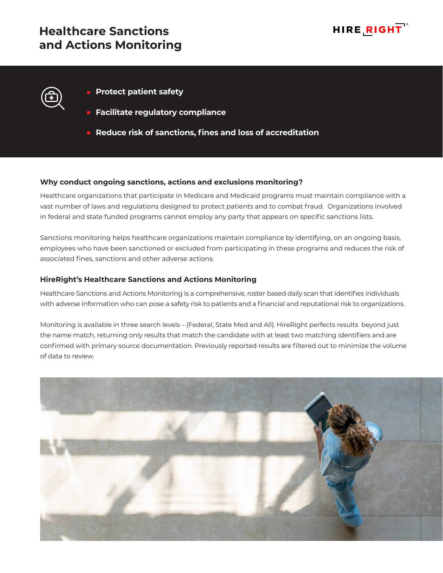# **Healthcare Sanctions and Actions Monitoring**



- **Protect patient safety**
- **Facilitate regulatory compliance**
- **Reduce risk of sanctions, fines and loss of accreditation**

### **Why conduct ongoing sanctions, actions and exclusions monitoring?**

Healthcare organizations that participate in Medicare and Medicaid programs must maintain compliance with a vast number of laws and regulations designed to protect patients and to combat fraud. Organizations involved in federal and state funded programs cannot employ any party that appears on specific sanctions lists.

Sanctions monitoring helps healthcare organizations maintain compliance by identifying, on an ongoing basis, employees who have been sanctioned or excluded from participating in these programs and reduces the risk of associated fines, sanctions and other adverse actions.

## **HireRight's Healthcare Sanctions and Actions Monitoring**

Healthcare Sanctions and Actions Monitoring is a comprehensive, roster based daily scan that identifies individuals with adverse information who can pose a safety risk to patients and a financial and reputational risk to organizations.

Monitoring is available in three search levels – (Federal, State Med and All). HireRight perfects results beyond just the name match, returning only results that match the candidate with at least two matching identifiers and are confirmed with primary source documentation. Previously reported results are filtered out to minimize the volume of data to review.